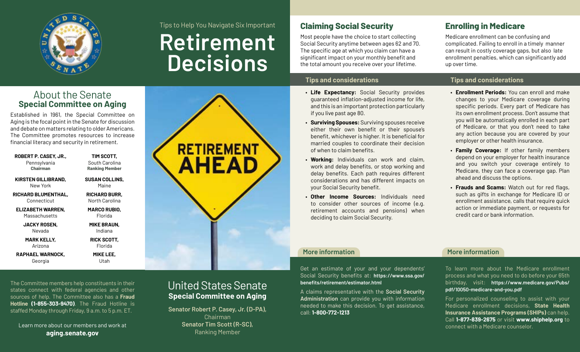

## Tips to Help You Navigate Six Important

**Retirement Decisions**

# **Claiming Social Security**

Most people have the choice to start collecting Social Security anytime between ages 62 and 70. The specific age at which you claim can have a significant impact on your monthly benefit and the total amount you receive over your lifetime.

## **Tips and considerations**

- **Life Expectancy:** Social Security provides guaranteed inflation-adjusted income for life, and this is an important protection particularly if you live past age 80.
- **Surviving Spouses:** Surviving spouses receive either their own benefit or their spouse's benefit, whichever is higher. It is beneficial for married couples to coordinate their decision of when to claim benefits.
- **Working:** Individuals can work and claim, work and delay benefits, or stop working and delay benefits. Each path requires different considerations and has different impacts on your Social Security benefit.
- **Other Income Sources:** Individuals need to consider other sources of income (e.g. retirement accounts and pensions) when deciding to claim Social Security.

Get an estimate of your and your dependents' Social Security benefits at: **https://www.ssa.gov/**

A claims representative with the **Social Security Administration** can provide you with information needed to make this decision. To get assistance,

**benefits/retirement/estimator.html**

call: **1-800-772-1213**

# **Enrolling in Medicare**

Medicare enrollment can be confusing and complicated. Failing to enroll in a timely manner can result in costly coverage gaps, but also late enrollment penalties, which can significantly add up over time.

## **Tips and considerations**

- **Enrollment Periods:** You can enroll and make changes to your Medicare coverage during specific periods. Every part of Medicare has its own enrollment process. Don't assume that you will be automatically enrolled in each part of Medicare, or that you don't need to take any action because you are covered by your employer or other health insurance.
- **Family Coverage:** If other family members depend on your employer for health insurance and you switch your coverage entirely to Medicare, they can face a coverage gap. Plan ahead and discuss the options.
- **Frauds and Scams:** Watch out for red flags, such as gifts in exchange for Medicare ID or enrollment assistance, calls that require quick action or immediate payment, or requests for credit card or bank information.

## **More information**

To learn more about the Medicare enrollment process and what you need to do before your 65th birthday, visit: **https://www.medicare.gov/Pubs/ pdf/10050-medicare-and-you.pdf**

For personalized counseling to assist with your Medicare enrollment decisions, **State Health Insurance Assistance Programs (SHIPs)** can help. Call **1-877-839-2675** or visit **www.shiphelp.org** to connect with a Medicare counselor.

# About the Senate **Special Committee on Aging**

Established in 1961, the Special Committee on Aging is the focal point in the Senate for discussion and debate on matters relating to older Americans. The Committee promotes resources to increase financial literacy and security in retirement.

| ROBERT P. CASEY, JR., | TIM SCOTT,            |
|-----------------------|-----------------------|
| Pennsylvania          | South Carolina        |
| Chairman              | <b>Ranking Member</b> |
| KIRSTEN GILLIBRAND.   | <b>SUSAN COLLINS,</b> |
| New York              | Maine                 |
| RICHARD BLUMENTHAL.   | <b>RICHARD BURR.</b>  |
| Connecticut           | North Carolina        |
| ELIZABETH WARREN.     | MARCO RUBIO,          |
| Massachusetts         | Florida               |
| JACKY ROSEN,          | MIKE BRAUN,           |
| Nevada                | Indiana               |
| <b>MARK KELLY,</b>    | <b>RICK SCOTT,</b>    |
| Arizona               | Florida               |
| RAPHAEL WARNOCK.      | <b>MIKE LEE.</b>      |
| Georgia               | Utah                  |



### The Committee members help constituents in their states connect with federal agencies and other sources of help. The Committee also has a **Fraud Hotline (1-855-303-9470)**. The Fraud Hotline is staffed Monday through Friday, 9 a.m. to 5 p.m. ET.

Learn more about our members and work at **[aging.senate.gov](https://www.aging.senate.gov)**

# United States Senate **Special Committee on Aging**

**Senator Robert P. Casey, Jr. (D-PA),**  Chairman **Senator Tim Scott (R-SC),**  Ranking Member